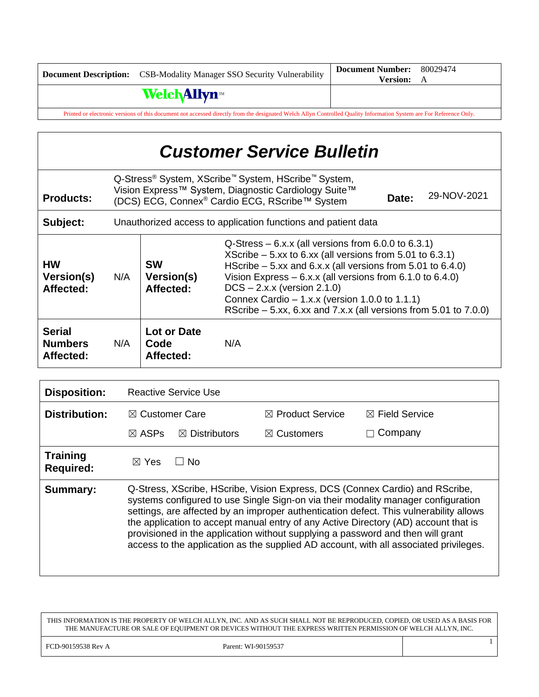|                                                                                                                                                                     | <b>Document Description:</b> CSB-Modality Manager SSO Security Vulnerability | <b>Document Number:</b> | 80029474 |
|---------------------------------------------------------------------------------------------------------------------------------------------------------------------|------------------------------------------------------------------------------|-------------------------|----------|
|                                                                                                                                                                     |                                                                              | <b>Version:</b> A       |          |
|                                                                                                                                                                     | <b>WelchAllyn</b> ™                                                          |                         |          |
| Printed or electronic versions of this document not accessed directly from the designated Welch Allyn Controlled Quality Information System are For Reference Only. |                                                                              |                         |          |

| <b>Customer Service Bulletin</b>             |                                                               |                                                                                                                                                                                                                                                                                                                                                                                                                                                    |     |  |  |
|----------------------------------------------|---------------------------------------------------------------|----------------------------------------------------------------------------------------------------------------------------------------------------------------------------------------------------------------------------------------------------------------------------------------------------------------------------------------------------------------------------------------------------------------------------------------------------|-----|--|--|
| <b>Products:</b>                             |                                                               | Q-Stress <sup>®</sup> System, XScribe <sup>™</sup> System, HScribe <sup>™</sup> System,<br>Vision Express™ System, Diagnostic Cardiology Suite™<br>29-NOV-2021<br>Date:<br>(DCS) ECG, Connex <sup>®</sup> Cardio ECG, RScribe™ System                                                                                                                                                                                                              |     |  |  |
| Subject:                                     | Unauthorized access to application functions and patient data |                                                                                                                                                                                                                                                                                                                                                                                                                                                    |     |  |  |
| <b>HW</b><br>Version(s)<br>Affected:         | N/A                                                           | $Q$ -Stress – 6.x.x (all versions from 6.0.0 to 6.3.1)<br>XScribe $-5$ xx to 6.xx (all versions from 5.01 to 6.3.1)<br><b>SW</b><br>HScribe $-5$ xx and 6.x.x (all versions from 5.01 to 6.4.0)<br>Vision Express $-6.x.x$ (all versions from 6.1.0 to 6.4.0)<br>Version(s)<br>$DCS - 2.x.x$ (version 2.1.0)<br>Affected:<br>Connex Cardio $-1.x.x$ (version 1.0.0 to 1.1.1)<br>RScribe $-5$ .xx, 6.xx and 7.x.x (all versions from 5.01 to 7.0.0) |     |  |  |
| <b>Serial</b><br><b>Numbers</b><br>Affected: | N/A                                                           | Lot or Date<br>Code<br>Affected:                                                                                                                                                                                                                                                                                                                                                                                                                   | N/A |  |  |

| <b>Disposition:</b>                 | <b>Reactive Service Use</b>                                                                                                                                                                                                                                                                                                                                                                                                                                                                                                    |                             |                           |
|-------------------------------------|--------------------------------------------------------------------------------------------------------------------------------------------------------------------------------------------------------------------------------------------------------------------------------------------------------------------------------------------------------------------------------------------------------------------------------------------------------------------------------------------------------------------------------|-----------------------------|---------------------------|
| <b>Distribution:</b>                | $\boxtimes$ Customer Care                                                                                                                                                                                                                                                                                                                                                                                                                                                                                                      | $\boxtimes$ Product Service | $\boxtimes$ Field Service |
|                                     | $\boxtimes$ ASPs<br>$\boxtimes$ Distributors                                                                                                                                                                                                                                                                                                                                                                                                                                                                                   | $\boxtimes$ Customers       | Company                   |
| <b>Training</b><br><b>Required:</b> | ∣ ∣No<br>$\boxtimes$ Yes                                                                                                                                                                                                                                                                                                                                                                                                                                                                                                       |                             |                           |
| Summary:                            | Q-Stress, XScribe, HScribe, Vision Express, DCS (Connex Cardio) and RScribe,<br>systems configured to use Single Sign-on via their modality manager configuration<br>settings, are affected by an improper authentication defect. This vulnerability allows<br>the application to accept manual entry of any Active Directory (AD) account that is<br>provisioned in the application without supplying a password and then will grant<br>access to the application as the supplied AD account, with all associated privileges. |                             |                           |

THIS INFORMATION IS THE PROPERTY OF WELCH ALLYN, INC. AND AS SUCH SHALL NOT BE REPRODUCED, COPIED, OR USED AS A BASIS FOR THE MANUFACTURE OR SALE OF EQUIPMENT OR DEVICES WITHOUT THE EXPRESS WRITTEN PERMISSION OF WELCH ALLYN, INC.